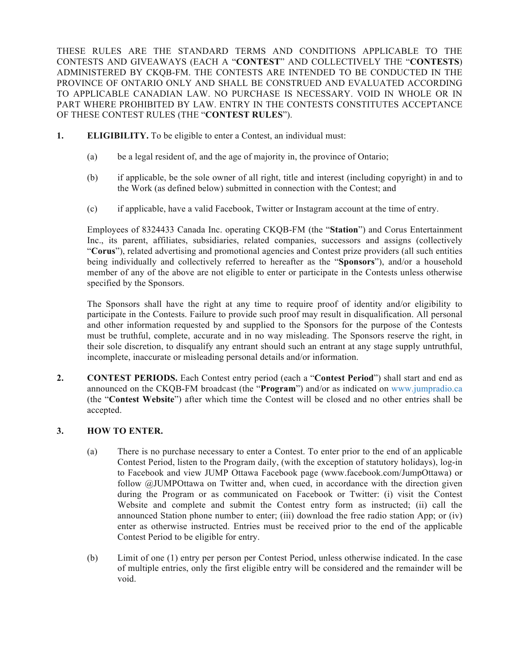THESE RULES ARE THE STANDARD TERMS AND CONDITIONS APPLICABLE TO THE CONTESTS AND GIVEAWAYS (EACH A "**CONTEST**" AND COLLECTIVELY THE "**CONTESTS**) ADMINISTERED BY CKQB-FM. THE CONTESTS ARE INTENDED TO BE CONDUCTED IN THE PROVINCE OF ONTARIO ONLY AND SHALL BE CONSTRUED AND EVALUATED ACCORDING TO APPLICABLE CANADIAN LAW. NO PURCHASE IS NECESSARY. VOID IN WHOLE OR IN PART WHERE PROHIBITED BY LAW. ENTRY IN THE CONTESTS CONSTITUTES ACCEPTANCE OF THESE CONTEST RULES (THE "**CONTEST RULES**").

- **1. ELIGIBILITY.** To be eligible to enter a Contest, an individual must:
	- (a) be a legal resident of, and the age of majority in, the province of Ontario;
	- (b) if applicable, be the sole owner of all right, title and interest (including copyright) in and to the Work (as defined below) submitted in connection with the Contest; and
	- (c) if applicable, have a valid Facebook, Twitter or Instagram account at the time of entry.

Employees of 8324433 Canada Inc. operating CKQB-FM (the "**Station**") and Corus Entertainment Inc., its parent, affiliates, subsidiaries, related companies, successors and assigns (collectively "**Corus**"), related advertising and promotional agencies and Contest prize providers (all such entities being individually and collectively referred to hereafter as the "**Sponsors**"), and/or a household member of any of the above are not eligible to enter or participate in the Contests unless otherwise specified by the Sponsors.

The Sponsors shall have the right at any time to require proof of identity and/or eligibility to participate in the Contests. Failure to provide such proof may result in disqualification. All personal and other information requested by and supplied to the Sponsors for the purpose of the Contests must be truthful, complete, accurate and in no way misleading. The Sponsors reserve the right, in their sole discretion, to disqualify any entrant should such an entrant at any stage supply untruthful, incomplete, inaccurate or misleading personal details and/or information.

**2. CONTEST PERIODS.** Each Contest entry period (each a "**Contest Period**") shall start and end as announced on the CKQB-FM broadcast (the "**Program**") and/or as indicated on www.jumpradio.ca (the "**Contest Website**") after which time the Contest will be closed and no other entries shall be accepted.

# **3. HOW TO ENTER.**

- (a) There is no purchase necessary to enter a Contest. To enter prior to the end of an applicable Contest Period, listen to the Program daily, (with the exception of statutory holidays), log-in to Facebook and view JUMP Ottawa Facebook page (www.facebook.com/JumpOttawa) or follow @JUMPOttawa on Twitter and, when cued, in accordance with the direction given during the Program or as communicated on Facebook or Twitter: (i) visit the Contest Website and complete and submit the Contest entry form as instructed; (ii) call the announced Station phone number to enter; (iii) download the free radio station App; or (iv) enter as otherwise instructed. Entries must be received prior to the end of the applicable Contest Period to be eligible for entry.
- (b) Limit of one (1) entry per person per Contest Period, unless otherwise indicated. In the case of multiple entries, only the first eligible entry will be considered and the remainder will be void.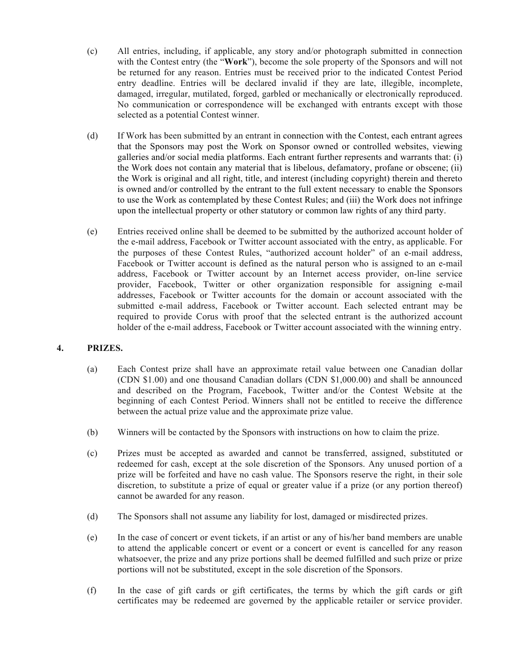- (c) All entries, including, if applicable, any story and/or photograph submitted in connection with the Contest entry (the "**Work**"), become the sole property of the Sponsors and will not be returned for any reason. Entries must be received prior to the indicated Contest Period entry deadline. Entries will be declared invalid if they are late, illegible, incomplete, damaged, irregular, mutilated, forged, garbled or mechanically or electronically reproduced. No communication or correspondence will be exchanged with entrants except with those selected as a potential Contest winner.
- (d) If Work has been submitted by an entrant in connection with the Contest, each entrant agrees that the Sponsors may post the Work on Sponsor owned or controlled websites, viewing galleries and/or social media platforms. Each entrant further represents and warrants that: (i) the Work does not contain any material that is libelous, defamatory, profane or obscene; (ii) the Work is original and all right, title, and interest (including copyright) therein and thereto is owned and/or controlled by the entrant to the full extent necessary to enable the Sponsors to use the Work as contemplated by these Contest Rules; and (iii) the Work does not infringe upon the intellectual property or other statutory or common law rights of any third party.
- (e) Entries received online shall be deemed to be submitted by the authorized account holder of the e-mail address, Facebook or Twitter account associated with the entry, as applicable. For the purposes of these Contest Rules, "authorized account holder" of an e-mail address, Facebook or Twitter account is defined as the natural person who is assigned to an e-mail address, Facebook or Twitter account by an Internet access provider, on-line service provider, Facebook, Twitter or other organization responsible for assigning e-mail addresses, Facebook or Twitter accounts for the domain or account associated with the submitted e-mail address, Facebook or Twitter account. Each selected entrant may be required to provide Corus with proof that the selected entrant is the authorized account holder of the e-mail address, Facebook or Twitter account associated with the winning entry.

# **4. PRIZES.**

- (a) Each Contest prize shall have an approximate retail value between one Canadian dollar (CDN \$1.00) and one thousand Canadian dollars (CDN \$1,000.00) and shall be announced and described on the Program, Facebook, Twitter and/or the Contest Website at the beginning of each Contest Period. Winners shall not be entitled to receive the difference between the actual prize value and the approximate prize value.
- (b) Winners will be contacted by the Sponsors with instructions on how to claim the prize.
- (c) Prizes must be accepted as awarded and cannot be transferred, assigned, substituted or redeemed for cash, except at the sole discretion of the Sponsors. Any unused portion of a prize will be forfeited and have no cash value. The Sponsors reserve the right, in their sole discretion, to substitute a prize of equal or greater value if a prize (or any portion thereof) cannot be awarded for any reason.
- (d) The Sponsors shall not assume any liability for lost, damaged or misdirected prizes.
- (e) In the case of concert or event tickets, if an artist or any of his/her band members are unable to attend the applicable concert or event or a concert or event is cancelled for any reason whatsoever, the prize and any prize portions shall be deemed fulfilled and such prize or prize portions will not be substituted, except in the sole discretion of the Sponsors.
- (f) In the case of gift cards or gift certificates, the terms by which the gift cards or gift certificates may be redeemed are governed by the applicable retailer or service provider.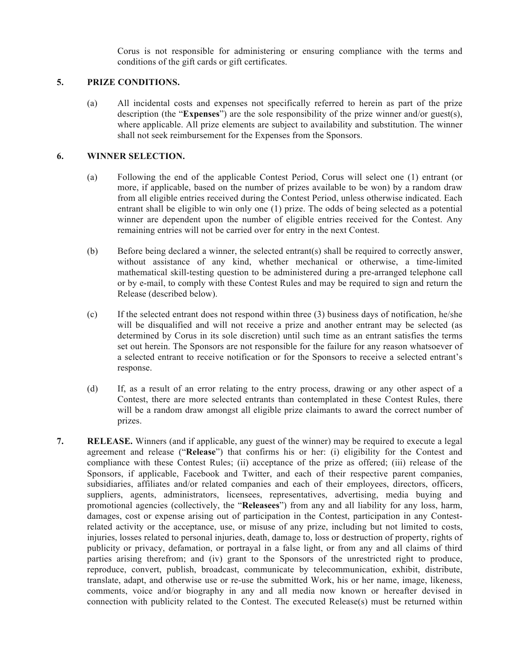Corus is not responsible for administering or ensuring compliance with the terms and conditions of the gift cards or gift certificates.

### **5. PRIZE CONDITIONS.**

(a) All incidental costs and expenses not specifically referred to herein as part of the prize description (the "**Expenses**") are the sole responsibility of the prize winner and/or guest(s), where applicable. All prize elements are subject to availability and substitution. The winner shall not seek reimbursement for the Expenses from the Sponsors.

#### **6. WINNER SELECTION.**

- (a) Following the end of the applicable Contest Period, Corus will select one (1) entrant (or more, if applicable, based on the number of prizes available to be won) by a random draw from all eligible entries received during the Contest Period, unless otherwise indicated. Each entrant shall be eligible to win only one (1) prize. The odds of being selected as a potential winner are dependent upon the number of eligible entries received for the Contest. Any remaining entries will not be carried over for entry in the next Contest.
- (b) Before being declared a winner, the selected entrant(s) shall be required to correctly answer, without assistance of any kind, whether mechanical or otherwise, a time-limited mathematical skill-testing question to be administered during a pre-arranged telephone call or by e-mail, to comply with these Contest Rules and may be required to sign and return the Release (described below).
- (c) If the selected entrant does not respond within three (3) business days of notification, he/she will be disqualified and will not receive a prize and another entrant may be selected (as determined by Corus in its sole discretion) until such time as an entrant satisfies the terms set out herein. The Sponsors are not responsible for the failure for any reason whatsoever of a selected entrant to receive notification or for the Sponsors to receive a selected entrant's response.
- (d) If, as a result of an error relating to the entry process, drawing or any other aspect of a Contest, there are more selected entrants than contemplated in these Contest Rules, there will be a random draw amongst all eligible prize claimants to award the correct number of prizes.
- **7. RELEASE.** Winners (and if applicable, any guest of the winner) may be required to execute a legal agreement and release ("**Release**") that confirms his or her: (i) eligibility for the Contest and compliance with these Contest Rules; (ii) acceptance of the prize as offered; (iii) release of the Sponsors, if applicable, Facebook and Twitter, and each of their respective parent companies, subsidiaries, affiliates and/or related companies and each of their employees, directors, officers, suppliers, agents, administrators, licensees, representatives, advertising, media buying and promotional agencies (collectively, the "**Releasees**") from any and all liability for any loss, harm, damages, cost or expense arising out of participation in the Contest, participation in any Contestrelated activity or the acceptance, use, or misuse of any prize, including but not limited to costs, injuries, losses related to personal injuries, death, damage to, loss or destruction of property, rights of publicity or privacy, defamation, or portrayal in a false light, or from any and all claims of third parties arising therefrom; and (iv) grant to the Sponsors of the unrestricted right to produce, reproduce, convert, publish, broadcast, communicate by telecommunication, exhibit, distribute, translate, adapt, and otherwise use or re-use the submitted Work, his or her name, image, likeness, comments, voice and/or biography in any and all media now known or hereafter devised in connection with publicity related to the Contest. The executed Release(s) must be returned within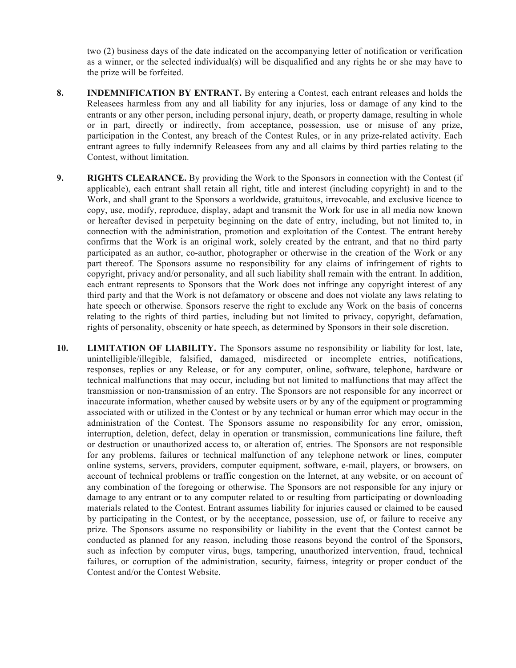two (2) business days of the date indicated on the accompanying letter of notification or verification as a winner, or the selected individual(s) will be disqualified and any rights he or she may have to the prize will be forfeited.

- **8. INDEMNIFICATION BY ENTRANT.** By entering a Contest, each entrant releases and holds the Releasees harmless from any and all liability for any injuries, loss or damage of any kind to the entrants or any other person, including personal injury, death, or property damage, resulting in whole or in part, directly or indirectly, from acceptance, possession, use or misuse of any prize, participation in the Contest, any breach of the Contest Rules, or in any prize-related activity. Each entrant agrees to fully indemnify Releasees from any and all claims by third parties relating to the Contest, without limitation.
- **9. RIGHTS CLEARANCE.** By providing the Work to the Sponsors in connection with the Contest (if applicable), each entrant shall retain all right, title and interest (including copyright) in and to the Work, and shall grant to the Sponsors a worldwide, gratuitous, irrevocable, and exclusive licence to copy, use, modify, reproduce, display, adapt and transmit the Work for use in all media now known or hereafter devised in perpetuity beginning on the date of entry, including, but not limited to, in connection with the administration, promotion and exploitation of the Contest. The entrant hereby confirms that the Work is an original work, solely created by the entrant, and that no third party participated as an author, co-author, photographer or otherwise in the creation of the Work or any part thereof. The Sponsors assume no responsibility for any claims of infringement of rights to copyright, privacy and/or personality, and all such liability shall remain with the entrant. In addition, each entrant represents to Sponsors that the Work does not infringe any copyright interest of any third party and that the Work is not defamatory or obscene and does not violate any laws relating to hate speech or otherwise. Sponsors reserve the right to exclude any Work on the basis of concerns relating to the rights of third parties, including but not limited to privacy, copyright, defamation, rights of personality, obscenity or hate speech, as determined by Sponsors in their sole discretion.
- **10. LIMITATION OF LIABILITY.** The Sponsors assume no responsibility or liability for lost, late, unintelligible/illegible, falsified, damaged, misdirected or incomplete entries, notifications, responses, replies or any Release, or for any computer, online, software, telephone, hardware or technical malfunctions that may occur, including but not limited to malfunctions that may affect the transmission or non-transmission of an entry. The Sponsors are not responsible for any incorrect or inaccurate information, whether caused by website users or by any of the equipment or programming associated with or utilized in the Contest or by any technical or human error which may occur in the administration of the Contest. The Sponsors assume no responsibility for any error, omission, interruption, deletion, defect, delay in operation or transmission, communications line failure, theft or destruction or unauthorized access to, or alteration of, entries. The Sponsors are not responsible for any problems, failures or technical malfunction of any telephone network or lines, computer online systems, servers, providers, computer equipment, software, e-mail, players, or browsers, on account of technical problems or traffic congestion on the Internet, at any website, or on account of any combination of the foregoing or otherwise. The Sponsors are not responsible for any injury or damage to any entrant or to any computer related to or resulting from participating or downloading materials related to the Contest. Entrant assumes liability for injuries caused or claimed to be caused by participating in the Contest, or by the acceptance, possession, use of, or failure to receive any prize. The Sponsors assume no responsibility or liability in the event that the Contest cannot be conducted as planned for any reason, including those reasons beyond the control of the Sponsors, such as infection by computer virus, bugs, tampering, unauthorized intervention, fraud, technical failures, or corruption of the administration, security, fairness, integrity or proper conduct of the Contest and/or the Contest Website.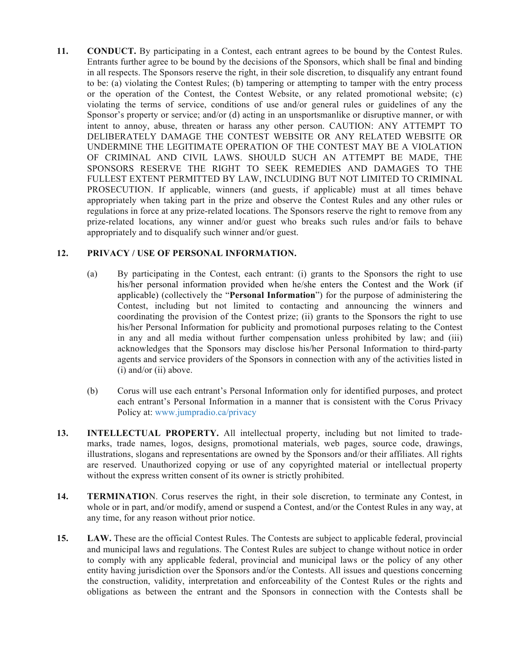**11. CONDUCT.** By participating in a Contest, each entrant agrees to be bound by the Contest Rules. Entrants further agree to be bound by the decisions of the Sponsors, which shall be final and binding in all respects. The Sponsors reserve the right, in their sole discretion, to disqualify any entrant found to be: (a) violating the Contest Rules; (b) tampering or attempting to tamper with the entry process or the operation of the Contest, the Contest Website, or any related promotional website; (c) violating the terms of service, conditions of use and/or general rules or guidelines of any the Sponsor's property or service; and/or (d) acting in an unsportsmanlike or disruptive manner, or with intent to annoy, abuse, threaten or harass any other person. CAUTION: ANY ATTEMPT TO DELIBERATELY DAMAGE THE CONTEST WEBSITE OR ANY RELATED WEBSITE OR UNDERMINE THE LEGITIMATE OPERATION OF THE CONTEST MAY BE A VIOLATION OF CRIMINAL AND CIVIL LAWS. SHOULD SUCH AN ATTEMPT BE MADE, THE SPONSORS RESERVE THE RIGHT TO SEEK REMEDIES AND DAMAGES TO THE FULLEST EXTENT PERMITTED BY LAW, INCLUDING BUT NOT LIMITED TO CRIMINAL PROSECUTION. If applicable, winners (and guests, if applicable) must at all times behave appropriately when taking part in the prize and observe the Contest Rules and any other rules or regulations in force at any prize-related locations. The Sponsors reserve the right to remove from any prize-related locations, any winner and/or guest who breaks such rules and/or fails to behave appropriately and to disqualify such winner and/or guest.

### **12. PRIVACY / USE OF PERSONAL INFORMATION.**

- (a) By participating in the Contest, each entrant: (i) grants to the Sponsors the right to use his/her personal information provided when he/she enters the Contest and the Work (if applicable) (collectively the "**Personal Information**") for the purpose of administering the Contest, including but not limited to contacting and announcing the winners and coordinating the provision of the Contest prize; (ii) grants to the Sponsors the right to use his/her Personal Information for publicity and promotional purposes relating to the Contest in any and all media without further compensation unless prohibited by law; and (iii) acknowledges that the Sponsors may disclose his/her Personal Information to third-party agents and service providers of the Sponsors in connection with any of the activities listed in (i) and/or (ii) above.
- (b) Corus will use each entrant's Personal Information only for identified purposes, and protect each entrant's Personal Information in a manner that is consistent with the Corus Privacy Policy at: www.jumpradio.ca/privacy
- **13. INTELLECTUAL PROPERTY.** All intellectual property, including but not limited to trademarks, trade names, logos, designs, promotional materials, web pages, source code, drawings, illustrations, slogans and representations are owned by the Sponsors and/or their affiliates. All rights are reserved. Unauthorized copying or use of any copyrighted material or intellectual property without the express written consent of its owner is strictly prohibited.
- **14. TERMINATIO**N. Corus reserves the right, in their sole discretion, to terminate any Contest, in whole or in part, and/or modify, amend or suspend a Contest, and/or the Contest Rules in any way, at any time, for any reason without prior notice.
- **15. LAW.** These are the official Contest Rules. The Contests are subject to applicable federal, provincial and municipal laws and regulations. The Contest Rules are subject to change without notice in order to comply with any applicable federal, provincial and municipal laws or the policy of any other entity having jurisdiction over the Sponsors and/or the Contests. All issues and questions concerning the construction, validity, interpretation and enforceability of the Contest Rules or the rights and obligations as between the entrant and the Sponsors in connection with the Contests shall be